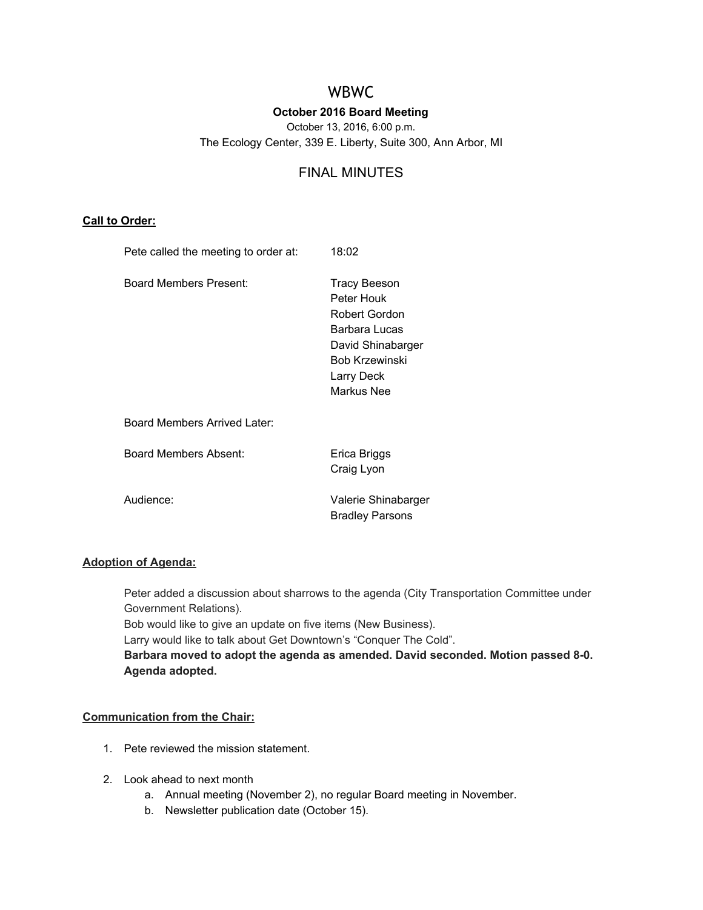# WBWC

# **October 2016 Board Meeting**

October 13, 2016, 6:00 p.m. The Ecology Center, 339 E. Liberty, Suite 300, Ann Arbor, MI

# FINAL MINUTES

# **Call to Order:**

| Pete called the meeting to order at: | 18:02                                                                                                                                         |
|--------------------------------------|-----------------------------------------------------------------------------------------------------------------------------------------------|
| Board Members Present:               | <b>Tracy Beeson</b><br>Peter Houk<br>Robert Gordon<br>Barbara Lucas<br>David Shinabarger<br><b>Bob Krzewinski</b><br>Larry Deck<br>Markus Nee |
| Board Members Arrived Later:         |                                                                                                                                               |
| Board Members Absent:                | Erica Briggs<br>Craig Lyon                                                                                                                    |
| Audience:                            | Valerie Shinabarger<br><b>Bradley Parsons</b>                                                                                                 |

# **Adoption of Agenda:**

Peter added a discussion about sharrows to the agenda (City Transportation Committee under Government Relations).

Bob would like to give an update on five items (New Business).

Larry would like to talk about Get Downtown's "Conquer The Cold".

**Barbara moved to adopt the agenda as amended. David seconded. Motion passed 8-0. Agenda adopted.**

# **Communication from the Chair:**

- 1. Pete reviewed the mission statement.
- 2. Look ahead to next month
	- a. Annual meeting (November 2), no regular Board meeting in November.
	- b. Newsletter publication date (October 15).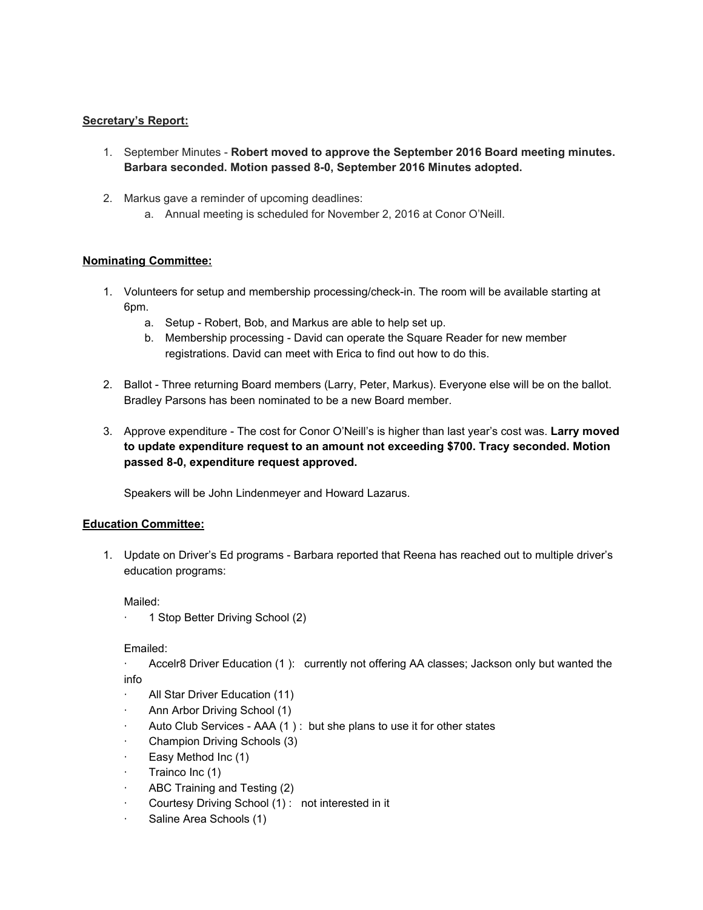## **Secretary's Report:**

- 1. September Minutes **Robert moved to approve the September 2016 Board meeting minutes. Barbara seconded. Motion passed 8-0, September 2016 Minutes adopted.**
- 2. Markus gave a reminder of upcoming deadlines:
	- a. Annual meeting is scheduled for November 2, 2016 at Conor O'Neill.

## **Nominating Committee:**

- 1. Volunteers for setup and membership processing/check-in. The room will be available starting at 6pm.
	- a. Setup Robert, Bob, and Markus are able to help set up.
	- b. Membership processing David can operate the Square Reader for new member registrations. David can meet with Erica to find out how to do this.
- 2. Ballot Three returning Board members (Larry, Peter, Markus). Everyone else will be on the ballot. Bradley Parsons has been nominated to be a new Board member.
- 3. Approve expenditure The cost for Conor O'Neill's is higher than last year's cost was. **Larry moved to update expenditure request to an amount not exceeding \$700. Tracy seconded. Motion passed 8-0, expenditure request approved.**

Speakers will be John Lindenmeyer and Howard Lazarus.

#### **Education Committee:**

1. Update on Driver's Ed programs - Barbara reported that Reena has reached out to multiple driver's education programs:

Mailed:

Emailed:

· Accelr8 Driver Education (1 ): currently not offering AA classes; Jackson only but wanted the info

- All Star Driver Education (11)
- Ann Arbor Driving School (1)
- Auto Club Services AAA (1): but she plans to use it for other states
- Champion Driving Schools (3)
- Easy Method Inc (1)
- Trainco Inc (1)
- ABC Training and Testing (2)
- · Courtesy Driving School (1) : not interested in it
- Saline Area Schools (1)

<sup>· 1</sup> Stop Better Driving School (2)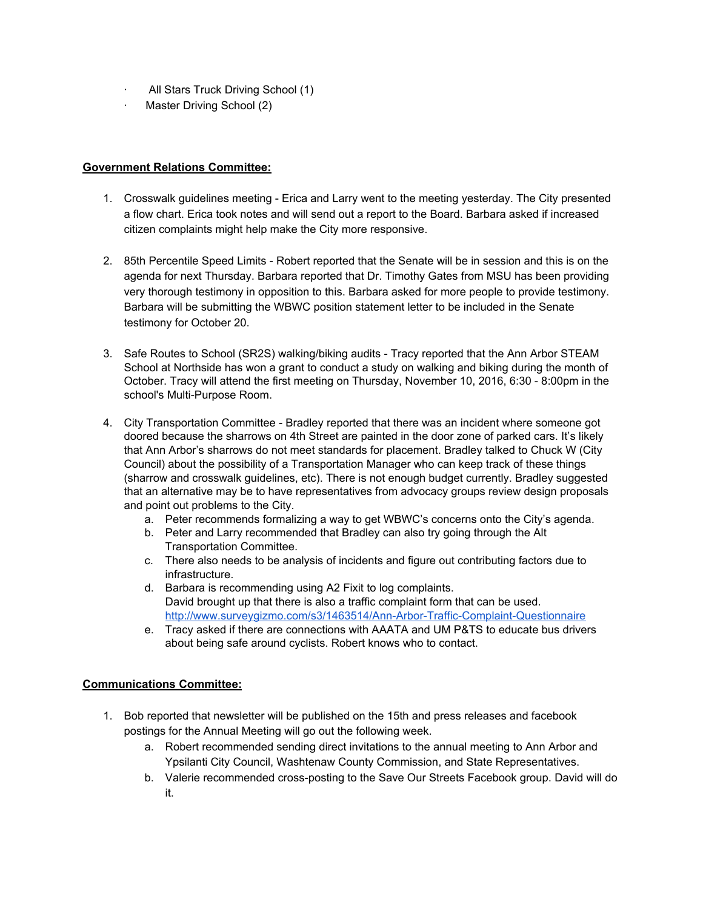- · All Stars Truck Driving School (1)
- · Master Driving School (2)

# **Government Relations Committee:**

- 1. Crosswalk guidelines meeting Erica and Larry went to the meeting yesterday. The City presented a flow chart. Erica took notes and will send out a report to the Board. Barbara asked if increased citizen complaints might help make the City more responsive.
- 2. 85th Percentile Speed Limits Robert reported that the Senate will be in session and this is on the agenda for next Thursday. Barbara reported that Dr. Timothy Gates from MSU has been providing very thorough testimony in opposition to this. Barbara asked for more people to provide testimony. Barbara will be submitting the WBWC position statement letter to be included in the Senate testimony for October 20.
- 3. Safe Routes to School (SR2S) walking/biking audits Tracy reported that the Ann Arbor STEAM School at Northside has won a grant to conduct a study on walking and biking during the month of October. Tracy will attend the first meeting on Thursday, November 10, 2016, 6:30 - 8:00pm in the school's Multi-Purpose Room.
- 4. City Transportation Committee Bradley reported that there was an incident where someone got doored because the sharrows on 4th Street are painted in the door zone of parked cars. It's likely that Ann Arbor's sharrows do not meet standards for placement. Bradley talked to Chuck W (City Council) about the possibility of a Transportation Manager who can keep track of these things (sharrow and crosswalk guidelines, etc). There is not enough budget currently. Bradley suggested that an alternative may be to have representatives from advocacy groups review design proposals and point out problems to the City.
	- a. Peter recommends formalizing a way to get WBWC's concerns onto the City's agenda.
	- b. Peter and Larry recommended that Bradley can also try going through the Alt Transportation Committee.
	- c. There also needs to be analysis of incidents and figure out contributing factors due to infrastructure.
	- d. Barbara is recommending using A2 Fixit to log complaints. David brought up that there is also a traffic complaint form that can be used. <http://www.surveygizmo.com/s3/1463514/Ann-Arbor-Traffic-Complaint-Questionnaire>
	- e. Tracy asked if there are connections with AAATA and UM P&TS to educate bus drivers about being safe around cyclists. Robert knows who to contact.

# **Communications Committee:**

- 1. Bob reported that newsletter will be published on the 15th and press releases and facebook postings for the Annual Meeting will go out the following week.
	- a. Robert recommended sending direct invitations to the annual meeting to Ann Arbor and Ypsilanti City Council, Washtenaw County Commission, and State Representatives.
	- b. Valerie recommended cross-posting to the Save Our Streets Facebook group. David will do it.